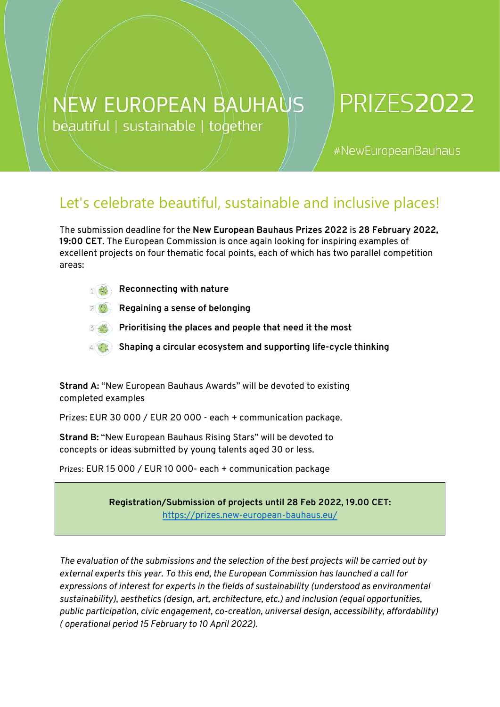## **NEW EUROPEAN BAUHAUS** beautiful | sustainable | together

## **PRIZES2022**

#NewEuropeanBauhaus

## Let's celebrate beautiful, sustainable and inclusive places!

The submission deadline for the **New European Bauhaus Prizes 2022** is **28 February 2022, 19:00 CET**. The European Commission is once again looking for inspiring examples of excellent projects on four thematic focal points, each of which has two parallel competition areas:

**Reconnecting with nature**

**Regaining a sense of belonging**

**Prioritising the places and people that need it the most**

**Shaping a circular ecosystem and supporting life-cycle thinking**

**Strand A:** "New European Bauhaus Awards" will be devoted to existing completed examples

Prizes: EUR 30 000 / EUR 20 000 - each + communication package.

**Strand B:** "New European Bauhaus Rising Stars" will be devoted to concepts or ideas submitted by young talents aged 30 or less.

Prizes: EUR 15 000 / EUR 10 000- each + communication package

**Registration/Submission of projects until 28 Feb 2022, 19.00 CET:** <https://prizes.new-european-bauhaus.eu/>

*The evaluation of the submissions and the selection of the best projects will be carried out by external experts this year. To this end, the European Commission has launched a call for expressions of interest for experts in the fields of sustainability (understood as environmental sustainability), aesthetics (design, art, architecture, etc.) and inclusion (equal opportunities, public participation, civic engagement, co-creation, universal design, accessibility, affordability) ( operational period 15 February to 10 April 2022).*